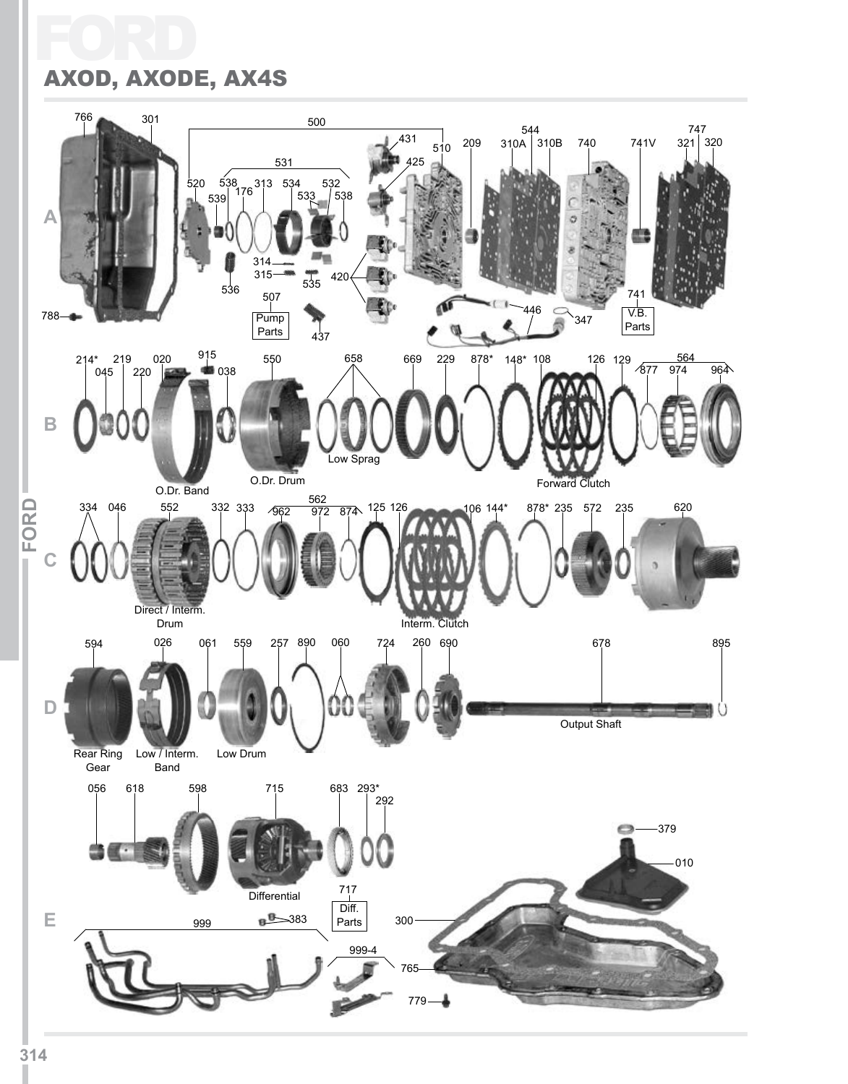## FC AXOD, AXODE, AX4S